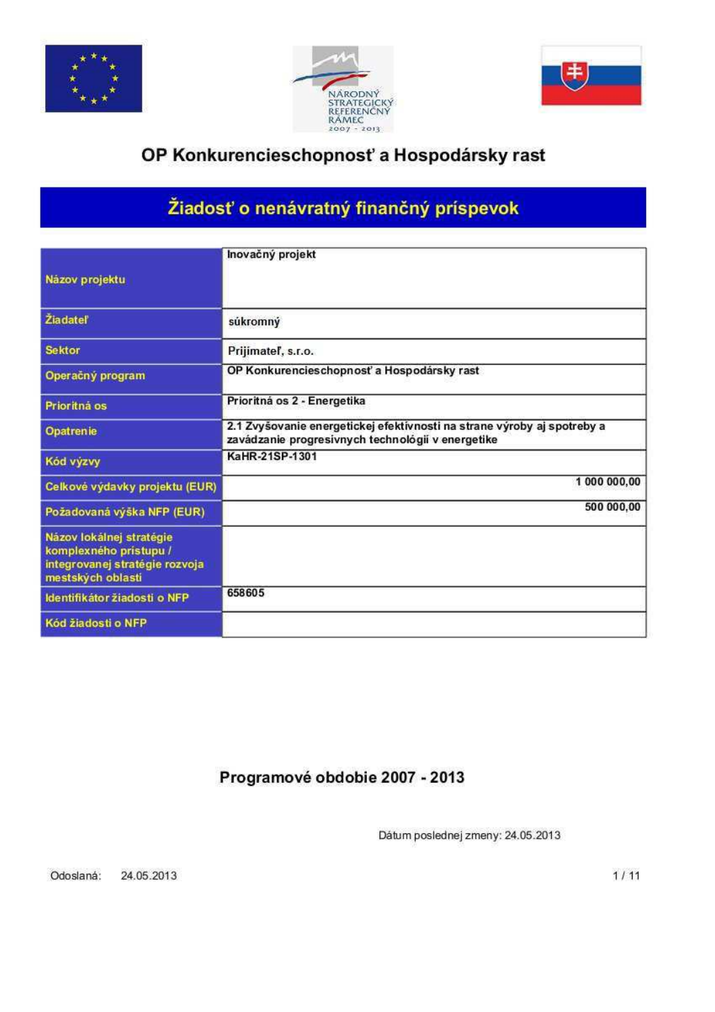





## OP Konkurencieschopnosť a Hospodársky rast

# Žiadosť o nenávratný finančný príspevok

|                                                                                                           | Inovačný projekt                                                                                                             |
|-----------------------------------------------------------------------------------------------------------|------------------------------------------------------------------------------------------------------------------------------|
| Názov projektu                                                                                            |                                                                                                                              |
| <b>Ziadateľ</b>                                                                                           | súkromný                                                                                                                     |
| <b>Sektor</b>                                                                                             | Prijimateľ, s.r.o.                                                                                                           |
| Operačný program                                                                                          | OP Konkurencieschopnosť a Hospodársky rast                                                                                   |
| Prioritná os                                                                                              | Prioritná os 2 - Energetika                                                                                                  |
| <b>Opatrenie</b>                                                                                          | 2.1 Zvyšovanie energetickej efektívnosti na strane výroby aj spotreby a<br>zavádzanie progresivnych technológii v energetike |
| Kód výzvy                                                                                                 | KaHR-21SP-1301                                                                                                               |
| Celkové výdavky projektu (EUR)                                                                            | 1 000 000,00                                                                                                                 |
| Požadovaná výška NFP (EUR)                                                                                | 500 000,00                                                                                                                   |
| Názov lokálnej stratégie<br>komplexného prístupu /<br>integrovanej stratégie rozvoja<br>mestských oblasti |                                                                                                                              |
| Identifikátor žiadosti o NFP                                                                              | 658605                                                                                                                       |
| Kód žiadosti o NFP                                                                                        |                                                                                                                              |

## Programové obdobie 2007 - 2013

Dátum poslednej zmeny: 24.05.2013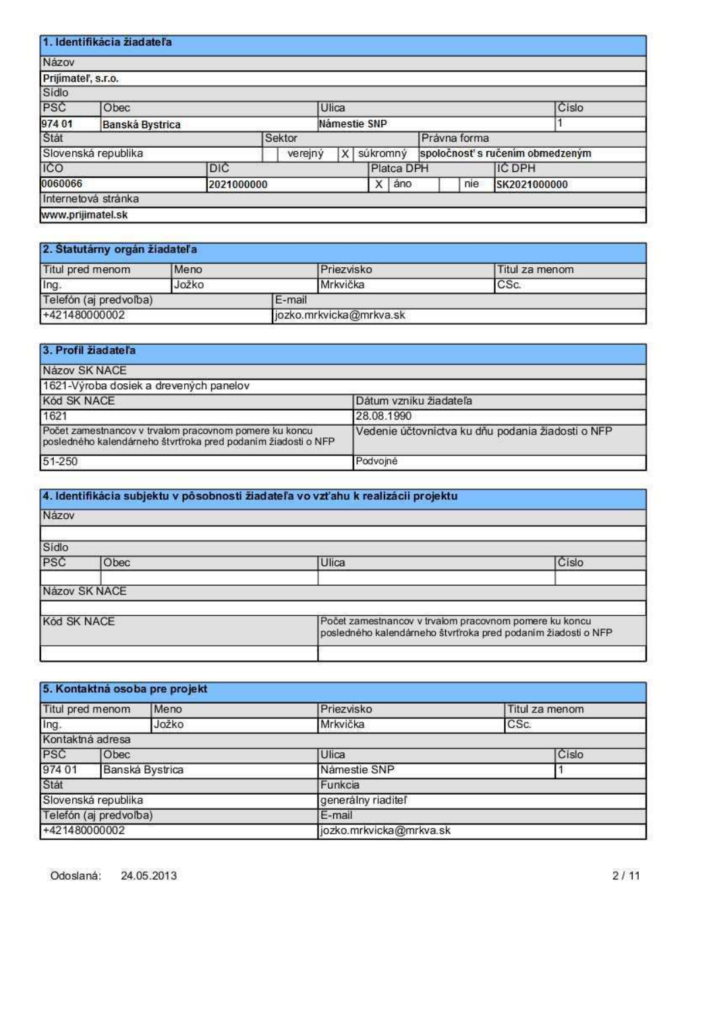| Názov                 |                     |            |         |              |          |            |     |              |                                 |       |
|-----------------------|---------------------|------------|---------|--------------|----------|------------|-----|--------------|---------------------------------|-------|
| Prijimateľ, s.r.o.    |                     |            |         |              |          |            |     |              |                                 |       |
| Sidlo                 |                     |            |         |              |          |            |     |              |                                 |       |
| <b>PSC</b>            | Obec                |            |         | Ulica        |          |            |     |              |                                 | Cislo |
| 974 01                | Banská Bystrica     |            |         | Námestie SNP |          |            |     |              |                                 |       |
| Stat                  |                     |            | Sektor  |              |          |            |     | Právna forma |                                 |       |
|                       | Slovenská republika |            | verejný | X            | súkromný |            |     |              | spoločnosť s ručením obmedzeným |       |
| ICO                   |                     | <b>DIC</b> |         |              |          | Platca DPH |     |              | <b>IC DPH</b>                   |       |
| 0060066<br>2021000000 |                     |            |         | ΧI           | áno      |            | nie | SK2021000000 |                                 |       |
|                       | Internetová stránka |            |         |              |          |            |     |              |                                 |       |
|                       | www.prijimatel.sk   |            |         |              |          |            |     |              |                                 |       |

| 2. Statutárny orgán žiadateľa |       |                         |            |                |
|-------------------------------|-------|-------------------------|------------|----------------|
| Titul pred menom              | Meno  |                         | Priezvisko | Titul za menom |
| Ing.                          | Jožko |                         | Mrkvička   | CSc.           |
| Telefón (aj predvoľba)        |       | E-mail                  |            |                |
| +421480000002                 |       | jozko.mrkvicka@mrkva.sk |            |                |

| 3. Profil žiadateľa                                                                                                     |                                                   |
|-------------------------------------------------------------------------------------------------------------------------|---------------------------------------------------|
| Názov SK NACE                                                                                                           |                                                   |
| 1621-Výroba dosiek a drevených panelov                                                                                  |                                                   |
| Kód SK NACE                                                                                                             | Dátum vzniku žiadateľa                            |
| 1621                                                                                                                    | 28.08.1990                                        |
| Počet zamestnancov v trvalom pracovnom pomere ku koncu<br>posledného kalendárneho štvrťroka pred podaním žiadosti o NFP | Vedenie účtovníctva ku dňu podania žiadosti o NFP |
| 51-250                                                                                                                  | Podvojné                                          |

| Názov       |               |                                                        |                                                               |
|-------------|---------------|--------------------------------------------------------|---------------------------------------------------------------|
| Sidlo       |               |                                                        |                                                               |
| PSC         | Obec          | Ulica                                                  | Cislo                                                         |
|             | Názov SK NACE |                                                        |                                                               |
| Kód SK NACE |               | Počet zamestnancov v trvalom pracovnom pomere ku koncu | posledného kalendárneho štvrťroka pred podanim žiadosti o NFP |

|                  | Titul pred menom       | Meno            | Priezvisko              | Titul za menom |
|------------------|------------------------|-----------------|-------------------------|----------------|
| Ing.             |                        | Jožko           | Mrkvička                | CSc.           |
| Kontaktná adresa |                        |                 |                         |                |
| <b>PSC</b>       | <b>Obec</b>            |                 | Cislo<br>Ulica          |                |
| 974 01           |                        | Banská Bystrica | Námestie SNP            |                |
| Stat             |                        |                 | Funkcia                 |                |
|                  | Slovenská republika    |                 | generálny riaditeľ      |                |
|                  | Telefón (aj predvoľba) |                 | E-mail                  |                |
| +421480000002    |                        |                 | jozko.mrkvicka@mrkva.sk |                |

Odoslaná: 24.05.2013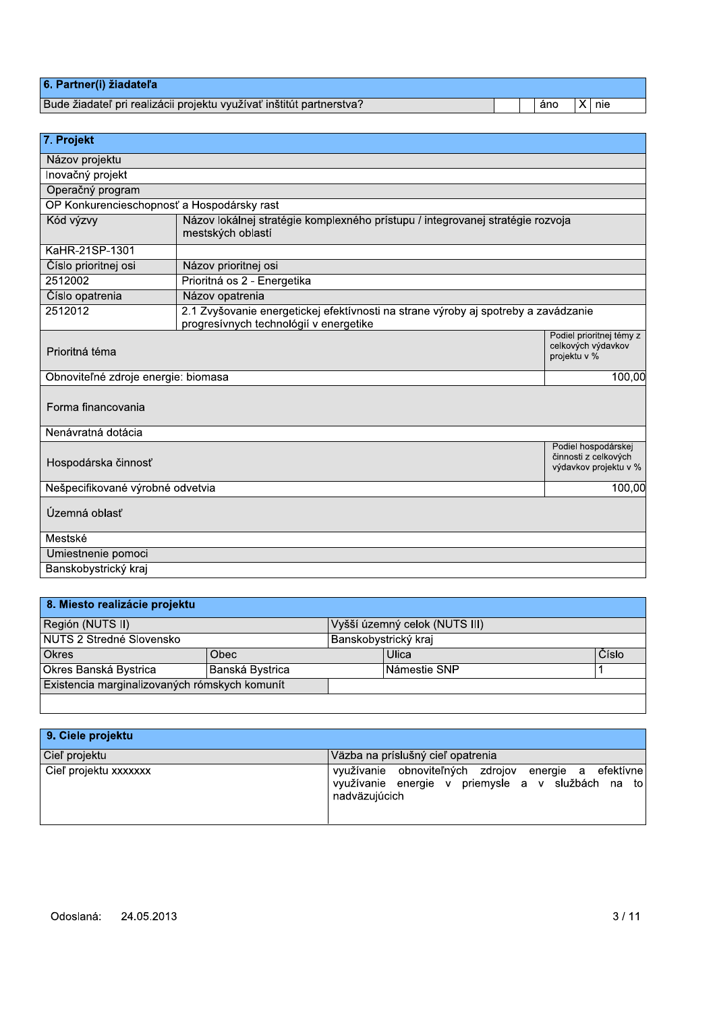#### 6. Partner(i) žiadateľa

### Bude žiadateľ pri realizácii projektu využívať inštitút partnerstva?

 $\sqrt{2}$  $\overline{X \mid \text{nie}}$ 

| 7. Projekt                                                                                                                              |                             |                                                                      |  |
|-----------------------------------------------------------------------------------------------------------------------------------------|-----------------------------|----------------------------------------------------------------------|--|
| Názov projektu                                                                                                                          |                             |                                                                      |  |
| Inovačný projekt                                                                                                                        |                             |                                                                      |  |
| Operačný program                                                                                                                        |                             |                                                                      |  |
| OP Konkurencieschopnosť a Hospodársky rast                                                                                              |                             |                                                                      |  |
| Kód výzvy<br>Názov lokálnej stratégie komplexného prístupu / integrovanej stratégie rozvoja<br>mestských oblastí                        |                             |                                                                      |  |
| KaHR-21SP-1301                                                                                                                          |                             |                                                                      |  |
| Číslo prioritnej osi                                                                                                                    | Názov prioritnej osi        |                                                                      |  |
| 2512002                                                                                                                                 | Prioritná os 2 - Energetika |                                                                      |  |
| Číslo opatrenia                                                                                                                         | Názov opatrenia             |                                                                      |  |
| 2512012<br>2.1 Zvyšovanie energetickej efektívnosti na strane výroby aj spotreby a zavádzanie<br>progresívnych technológií v energetike |                             |                                                                      |  |
| Prioritná téma                                                                                                                          |                             | Podiel prioritnej témy z<br>celkových výdavkov<br>projektu v %       |  |
| Obnoviteľné zdroje energie: biomasa                                                                                                     |                             | 100,00                                                               |  |
| Forma financovania                                                                                                                      |                             |                                                                      |  |
| Nenávratná dotácia                                                                                                                      |                             |                                                                      |  |
| Hospodárska činnosť                                                                                                                     |                             | Podiel hospodárskej<br>činnosti z celkových<br>výdavkov projektu v % |  |
| Nešpecifikované výrobné odvetvia<br>100,00                                                                                              |                             |                                                                      |  |
| Územná oblasť                                                                                                                           |                             |                                                                      |  |
| Mestské                                                                                                                                 |                             |                                                                      |  |
| Umiestnenie pomoci                                                                                                                      |                             |                                                                      |  |
| Banskobystrický kraj                                                                                                                    |                             |                                                                      |  |

| 8. Miesto realizácie projektu                 |                 |                               |              |       |
|-----------------------------------------------|-----------------|-------------------------------|--------------|-------|
| Región (NUTS II)                              |                 | Vyšší územný celok (NUTS III) |              |       |
| NUTS 2 Stredné Slovensko                      |                 | Banskobystrický kraj          |              |       |
| <b>Okres</b>                                  | Obec.           |                               | Ulica        | Číslo |
| Okres Banská Bystrica                         | Banská Bystrica |                               | Námestie SNP |       |
| Existencia marginalizovaných rómskych komunít |                 |                               |              |       |
|                                               |                 |                               |              |       |

| 9. Ciele projektu     |                                                                                                                            |
|-----------------------|----------------------------------------------------------------------------------------------------------------------------|
| Cieľ projektu         | Väzba na príslušný cieľ opatrenia                                                                                          |
| Cieľ projektu xxxxxxx | využívanie obnoviteľných zdrojov energie a efektívne<br>využívanie energie v priemysle a v službách na to<br>nadväzujúcich |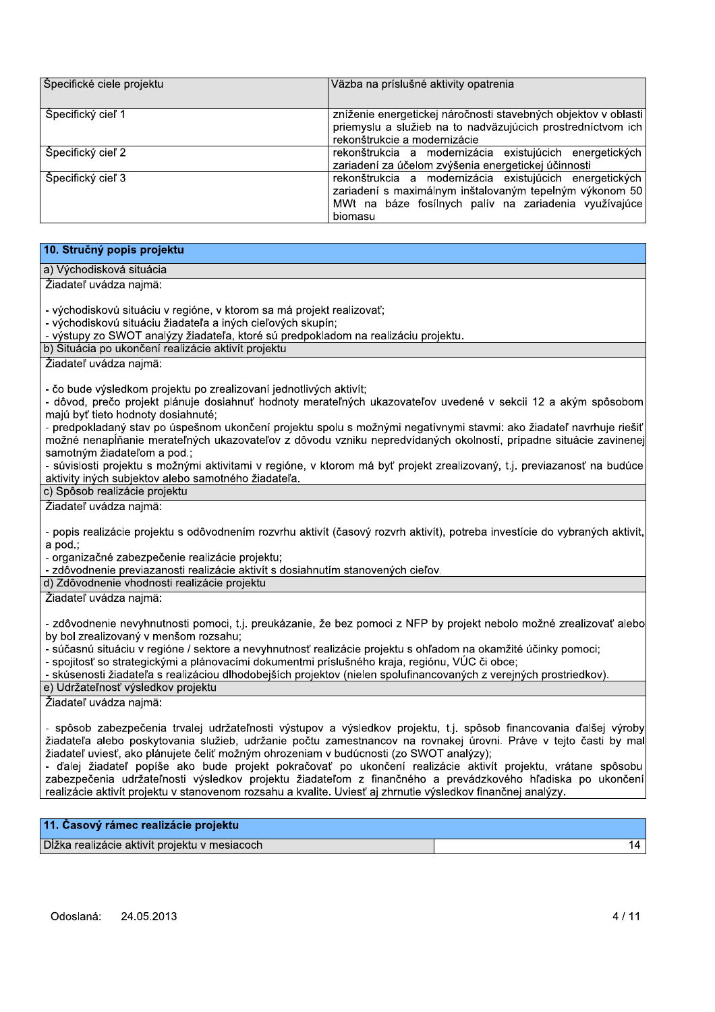| Špecifické ciele projektu | Väzba na príslušné aktivity opatrenia                                                                                                                                                  |
|---------------------------|----------------------------------------------------------------------------------------------------------------------------------------------------------------------------------------|
| Špecifický cieľ 1         | zníženie energetickej náročnosti stavebných objektov v oblasti<br>priemyslu a služieb na to nadväzujúcich prostredníctvom ich<br>rekonštrukcie a modernizácie                          |
| Špecifický cieľ 2         | rekonštrukcia a modernizácia existujúcich energetických<br>zariadení za účelom zvýšenia energetickej účinnosti                                                                         |
| Špecifický cieľ 3         | rekonštrukcia a modernizácia existujúcich energetických<br>zariadení s maximálnym inštalovaným tepelným výkonom 50<br>MWt na báze fosílnych palív na zariadenia využívajúce<br>biomasu |

| 10. Stručný popis projektu                                                                                                                                                                             |
|--------------------------------------------------------------------------------------------------------------------------------------------------------------------------------------------------------|
| a) Východisková situácia                                                                                                                                                                               |
| Žiadateľ uvádza najmä:                                                                                                                                                                                 |
|                                                                                                                                                                                                        |
| - východiskovú situáciu v regióne, v ktorom sa má projekt realizovať;<br>- východiskovú situáciu žiadateľa a iných cieľových skupín;                                                                   |
| - výstupy zo SWOT analýzy žiadateľa, ktoré sú predpokladom na realizáciu projektu.                                                                                                                     |
| b) Situácia po ukončení realizácie aktivít projektu                                                                                                                                                    |
| Žiadateľ uvádza najmä:                                                                                                                                                                                 |
|                                                                                                                                                                                                        |
| - čo bude výsledkom projektu po zrealizovaní jednotlivých aktivít;                                                                                                                                     |
| - dôvod, prečo projekt plánuje dosiahnuť hodnoty merateľných ukazovateľov uvedené v sekcii 12 a akým spôsobom                                                                                          |
| majú byť tieto hodnoty dosiahnuté;<br>- predpokladaný stav po úspešnom ukončení projektu spolu s možnými negatívnymi stavmi: ako žiadateľ navrhuje riešiť                                              |
| možné nenapĺňanie merateľných ukazovateľov z dôvodu vzniku nepredvídaných okolností, prípadne situácie zavinenej                                                                                       |
| samotným žiadateľom a pod.;                                                                                                                                                                            |
| - súvislosti projektu s možnými aktivitami v regióne, v ktorom má byť projekt zrealizovaný, t.j. previazanosť na budúce                                                                                |
| aktivity iných subjektov alebo samotného žiadateľa.                                                                                                                                                    |
| c) Spôsob realizácie projektu                                                                                                                                                                          |
| Žiadateľ uvádza najmä:                                                                                                                                                                                 |
|                                                                                                                                                                                                        |
| - popis realizácie projektu s odôvodnením rozvrhu aktivít (časový rozvrh aktivít), potreba investície do vybraných aktivít,<br>a pod.;                                                                 |
| - organizačné zabezpečenie realizácie projektu;                                                                                                                                                        |
| - zdôvodnenie previazanosti realizácie aktivít s dosiahnutím stanovených cieľov.                                                                                                                       |
| d) Zdôvodnenie vhodnosti realizácie projektu                                                                                                                                                           |
| Žiadateľ uvádza najmä:                                                                                                                                                                                 |
|                                                                                                                                                                                                        |
| - zdôvodnenie nevyhnutnosti pomoci, t.j. preukázanie, že bez pomoci z NFP by projekt nebolo možné zrealizovať alebo                                                                                    |
| by bol zrealizovaný v menšom rozsahu;<br>- súčasnú situáciu v regióne / sektore a nevyhnutnosť realizácie projektu s ohľadom na okamžité účinky pomoci;                                                |
| - spojitosť so strategickými a plánovacími dokumentmi príslušného kraja, regiónu, VÚC či obce;                                                                                                         |
| - skúsenosti žiadateľa s realizáciou dlhodobejších projektov (nielen spolufinancovaných z verejných prostriedkov).                                                                                     |
| e) Udržateľnosť výsledkov projektu                                                                                                                                                                     |
| Žiadateľ uvádza najmä:                                                                                                                                                                                 |
|                                                                                                                                                                                                        |
| - spôsob zabezpečenia trvalej udržateľnosti výstupov a výsledkov projektu, t.j. spôsob financovania ďalšej výroby                                                                                      |
| žiadateľa alebo poskytovania služieb, udržanie počtu zamestnancov na rovnakej úrovni. Práve v tejto časti by mal                                                                                       |
| žiadateľ uviesť, ako plánujete čeliť možným ohrozeniam v budúcnosti (zo SWOT analýzy);<br>- ďalej žiadateľ popíše ako bude projekt pokračovať po ukončení realizácie aktivít projektu, vrátane spôsobu |
| zabezpečenia udržateľnosti výsledkov projektu žiadateľom z finančného a prevádzkového hľadiska po ukončení                                                                                             |
| realizácie aktivít projektu v stanovenom rozsahu a kvalite. Uviesť aj zhrnutie výsledkov finančnej analýzy.                                                                                            |

| 11. Časový rámec realizácie projektu          |  |
|-----------------------------------------------|--|
| Dĺžka realizácie aktivít projektu v mesiacoch |  |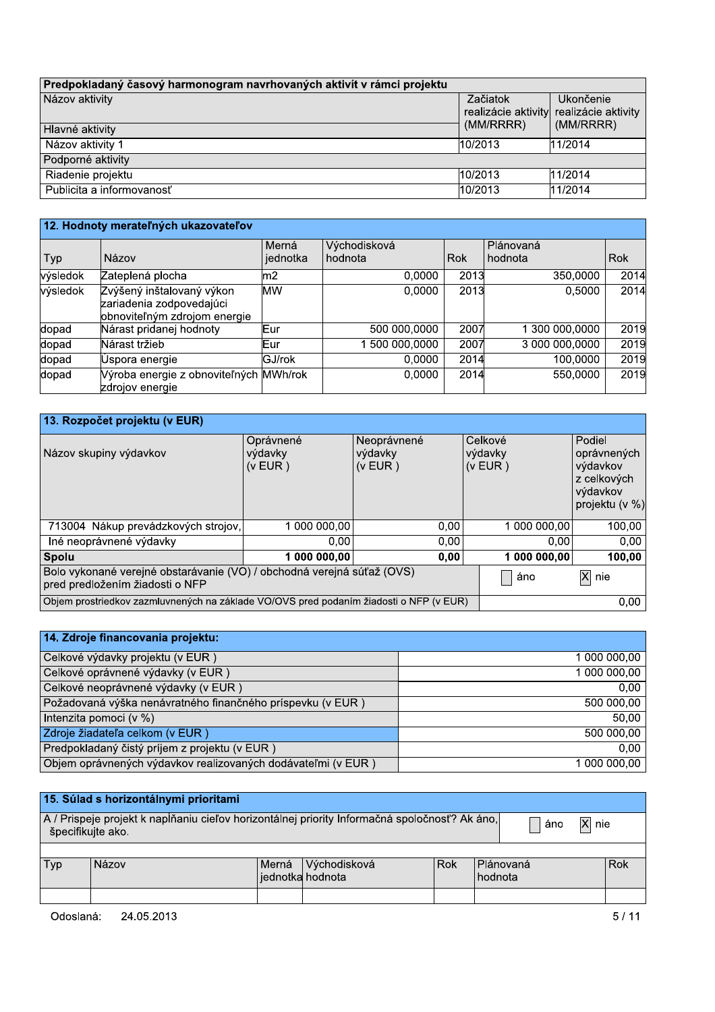| Predpokladaný časový harmonogram navrhovaných aktivít v rámci projektu |           |                                                      |
|------------------------------------------------------------------------|-----------|------------------------------------------------------|
| Názov aktivity                                                         | Začiatok  | Ukončenie<br>realizácie aktivity realizácie aktivity |
| Hlavné aktivity                                                        | (MM/RRRR) | (MM/RRRR)                                            |
| Názov aktivity 1                                                       | 10/2013   | 11/2014                                              |
| Podporné aktivity                                                      |           |                                                      |
| Riadenie projektu                                                      | 10/2013   | 11/2014                                              |
| Publicita a informovanosť                                              | 10/2013   | 11/2014                                              |

|          | 12. Hodnoty merateľných ukazovateľov                                                  |                   |                         |            |                      |      |
|----------|---------------------------------------------------------------------------------------|-------------------|-------------------------|------------|----------------------|------|
| Typ      | Názov                                                                                 | Merná<br>jednotka | Východisková<br>hodnota | <b>Rok</b> | Plánovaná<br>hodnota | Rok  |
| výsledok | Zateplená plocha                                                                      | m2                | 0.0000                  | 2013       | 350,0000             | 2014 |
| výsledok | Zvýšený inštalovaný výkon<br>zariadenia zodpovedajúci<br>obnoviteľným zdrojom energie | МW                | 0.0000                  | 2013       | 0.5000               | 2014 |
| dopad    | Nárast pridanej hodnoty                                                               | Eur               | 500 000,0000            | 2007       | 1 300 000,0000       | 2019 |
| dopad    | Nárast tržieb                                                                         | lEur.             | 500 000,0000            | 2007       | 3 000 000,0000       | 2019 |
| dopad    | Uspora energie                                                                        | GJ/rok            | 0.0000                  | 2014       | 100,0000             | 2019 |
| dopad    | Výroba energie z obnoviteľných MWh/rok<br>zdrojov energie                             |                   | 0.0000                  | 2014       | 550,0000             | 2019 |

| 13. Rozpočet projektu (v EUR)                                                                             |                                      |                                        |                                    |                                                                                |
|-----------------------------------------------------------------------------------------------------------|--------------------------------------|----------------------------------------|------------------------------------|--------------------------------------------------------------------------------|
| Názov skupiny výdavkov                                                                                    | Oprávnené<br>výdavky<br>$(v$ EUR $)$ | Neoprávnené<br>výdavky<br>$(v$ EUR $)$ | Celkové<br>výdavky<br>$(v$ EUR $)$ | Podiel<br>oprávnených<br>výdavkov<br>z celkových<br>výdavkov<br>projektu (v %) |
| 713004 Nákup prevádzkových strojov,                                                                       | 1 000 000,00                         | 0,00                                   | 1 000 000.00                       | 100,00                                                                         |
| Iné neoprávnené výdavky                                                                                   | 0.00                                 | 0.00                                   |                                    | 0,00<br>0.00                                                                   |
| Spolu                                                                                                     | 1000000,00                           | 0,00                                   | 1000000,00                         | 100,00                                                                         |
| Bolo vykonané verejné obstarávanie (VO) / obchodná verejná súťaž (OVS)<br>pred predložením žiadosti o NFP |                                      |                                        | áno                                | $ \overline{X} $ nie                                                           |
| Objem prostriedkov zazmluvnených na základe VO/OVS pred podaním žiadosti o NFP (v EUR)                    |                                      |                                        |                                    | 0,00                                                                           |

| 14. Zdroje financovania projektu:                            |              |
|--------------------------------------------------------------|--------------|
| Celkové výdavky projektu (v EUR)                             | 1 000 000,00 |
| Celkové oprávnené výdavky (v EUR)                            | 1 000 000,00 |
| Celkové neoprávnené výdavky (v EUR)                          | 0,00         |
| Požadovaná výška nenávratného finančného príspevku (v EUR)   | 500 000,00   |
| Intenzita pomoci (v %)                                       | 50,00        |
| Zdroje žiadateľa celkom (v EUR)                              | 500 000,00   |
| Predpokladaný čistý príjem z projektu (v EUR)                | 0,00         |
| Objem oprávnených výdavkov realizovaných dodávateľmi (v EUR) | 1 000 000,00 |

|                   | 15. Súlad s horizontálnymi prioritami                                                         |       |                                  |     |                        |     |                    |     |
|-------------------|-----------------------------------------------------------------------------------------------|-------|----------------------------------|-----|------------------------|-----|--------------------|-----|
| špecifikujte ako. | A / Prispeje projekt k napĺňaniu cieľov horizontálnej priority Informačná spoločnosť? Ak áno, |       |                                  |     |                        | áno | $ \mathsf{X} $ nie |     |
|                   |                                                                                               |       |                                  |     |                        |     |                    |     |
| Typ               | Názov                                                                                         | Merná | Východisková<br>jednotka hodnota | Rok | Plánovaná<br>∣ hodnota |     |                    | Rok |
|                   |                                                                                               |       |                                  |     |                        |     |                    |     |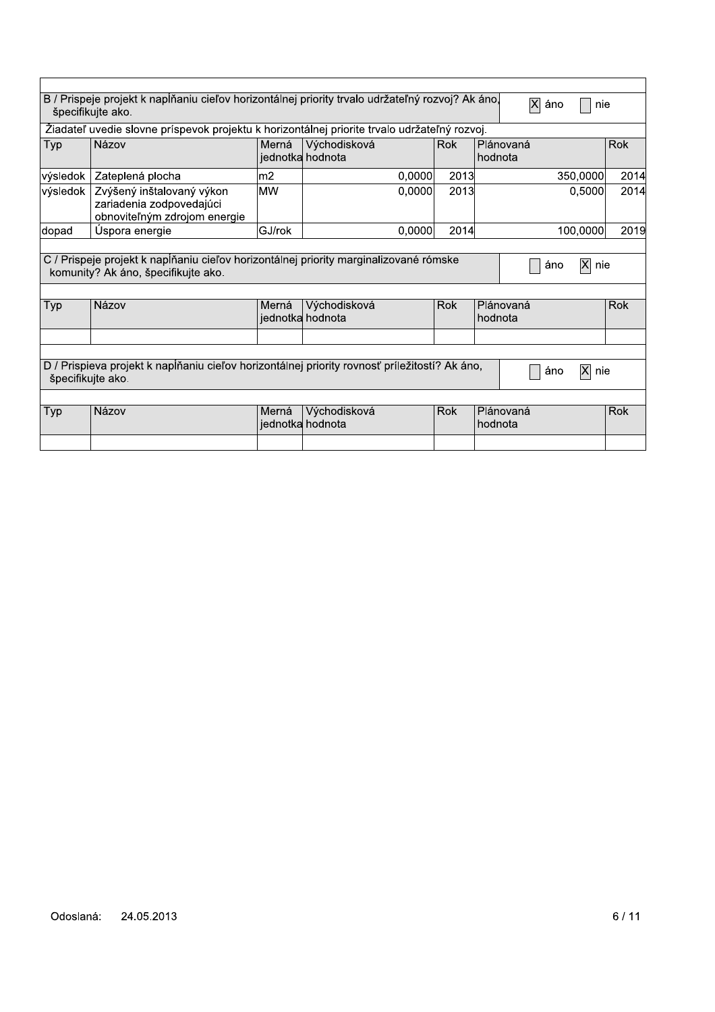|                   | B / Prispeje projekt k naplňaniu cieľov horizontálnej priority trvalo udržateľný rozvoj? Ak áno.<br>špecifikujte ako.        |        |                                  |            |                      | $ \mathsf{X} $<br>áno<br>nie                |      |
|-------------------|------------------------------------------------------------------------------------------------------------------------------|--------|----------------------------------|------------|----------------------|---------------------------------------------|------|
|                   | Žiadateľ uvedie slovne príspevok projektu k horizontálnej priorite trvalo udržateľný rozvoj.                                 |        |                                  |            |                      |                                             |      |
| Typ               | Názov                                                                                                                        | Merná  | Východisková<br>jednotka hodnota | <b>Rok</b> | Plánovaná<br>hodnota |                                             | Rok  |
| výsledok          | Zateplená plocha                                                                                                             | lm2    | 0,0000                           | 2013       |                      | 350,0000                                    | 2014 |
| výsledok          | Zvýšený inštalovaný výkon<br>zariadenia zodpovedajúci<br>obnoviteľným zdrojom energie                                        | lMW    | 0,0000                           | 2013       |                      | 0,5000                                      | 2014 |
| dopad             | Úspora energie                                                                                                               | GJ/rok | 0,0000                           | 2014       |                      | 100,0000                                    | 2019 |
|                   | C / Prispeje projekt k napĺňaniu cieľov horizontálnej priority marginalizované rómske<br>komunity? Ak áno, špecifikujte ako. |        |                                  |            |                      | $ \mathsf{X} $<br>nie<br>áno                |      |
| Typ               | Názov                                                                                                                        | Merná  | Východisková<br>jednotka hodnota | Rok        | Plánovaná<br>hodnota |                                             | Rok  |
|                   |                                                                                                                              |        |                                  |            |                      |                                             |      |
|                   |                                                                                                                              |        |                                  |            |                      |                                             |      |
| špecifikujte ako. | D / Prispieva projekt k napĺňaniu cieľov horizontálnej priority rovnosť príležitostí? Ak áno,                                |        |                                  |            |                      | $ {\boldsymbol{\mathsf{X}}} $<br>nie<br>áno |      |
|                   |                                                                                                                              |        |                                  |            |                      |                                             |      |
| Typ               | Názov                                                                                                                        | Merná  | Východisková<br>jednotka hodnota | <b>Rok</b> | Plánovaná<br>hodnota |                                             | Rok  |
|                   |                                                                                                                              |        |                                  |            |                      |                                             |      |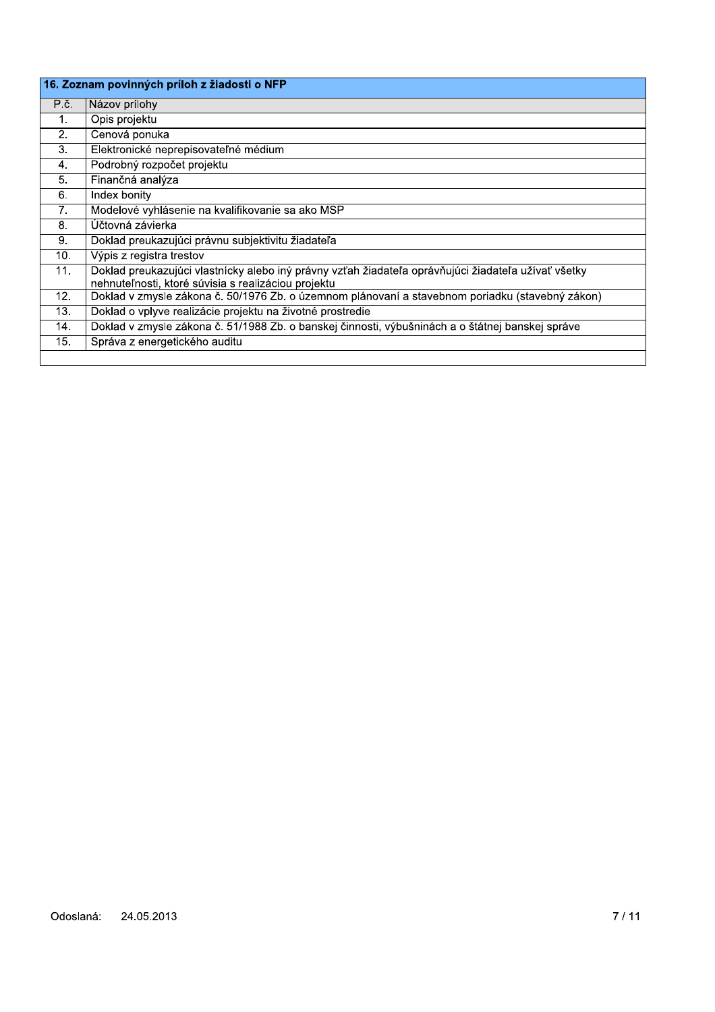|      | 16. Zoznam povinných príloh z žiadosti o NFP                                                                                                               |
|------|------------------------------------------------------------------------------------------------------------------------------------------------------------|
| P.č. | Názov prílohy                                                                                                                                              |
| 1.   | Opis projektu                                                                                                                                              |
| 2.   | Cenová ponuka                                                                                                                                              |
| 3.   | Elektronické neprepisovateľné médium                                                                                                                       |
| 4.   | Podrobný rozpočet projektu                                                                                                                                 |
| 5.   | Finančná analýza                                                                                                                                           |
| 6.   | Index bonity                                                                                                                                               |
| 7.   | Modelové vyhlásenie na kvalifikovanie sa ako MSP                                                                                                           |
| 8.   | Učtovná závierka                                                                                                                                           |
| 9.   | Doklad preukazujúci právnu subjektivitu žiadateľa                                                                                                          |
| 10.  | Výpis z registra trestov                                                                                                                                   |
| 11.  | Doklad preukazujúci vlastnícky alebo iný právny vzťah žiadateľa oprávňujúci žiadateľa užívať všetky<br>nehnuteľnosti, ktoré súvisia s realizáciou projektu |
| 12.  | Doklad v zmysle zákona č. 50/1976 Zb. o územnom plánovaní a stavebnom poriadku (stavebný zákon)                                                            |
| 13.  | Doklad o vplyve realizácie projektu na životné prostredie                                                                                                  |
| 14.  | Doklad v zmysle zákona č. 51/1988 Zb. o banskej činnosti, výbušninách a o štátnej banskej správe                                                           |
| 15.  | Správa z energetického auditu                                                                                                                              |
|      |                                                                                                                                                            |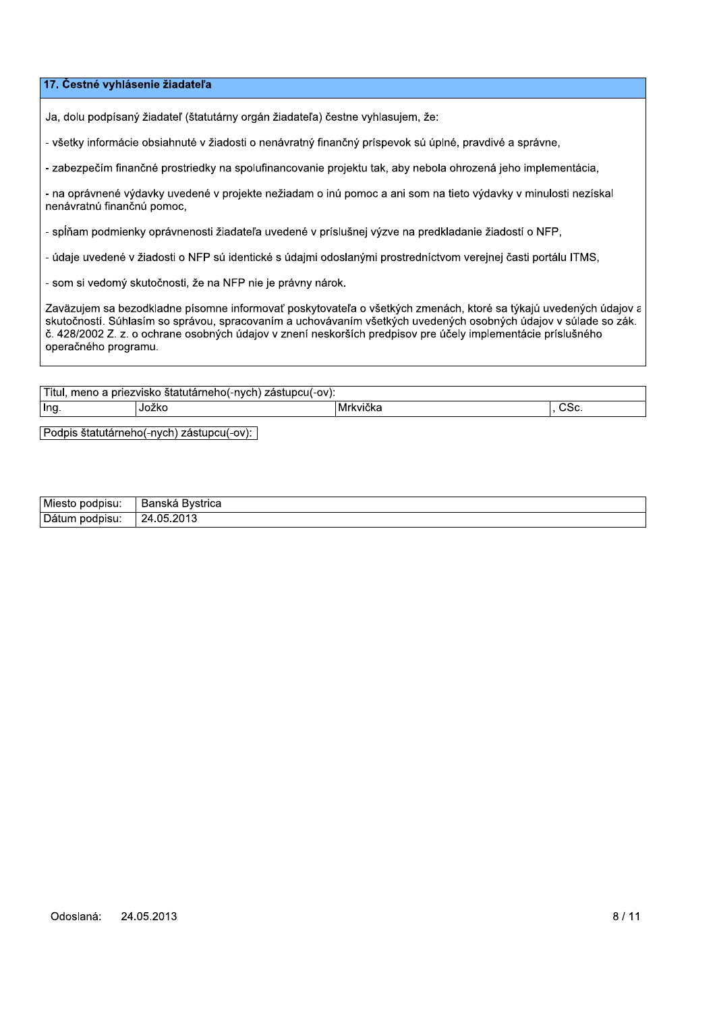#### 17. Čestné vyhlásenie žiadateľa

Ja, dolu podpísaný žiadateľ (štatutárny orgán žiadateľa) čestne vyhlasujem, že:

- všetky informácie obsiahnuté v žiadosti o nenávratný finančný príspevok sú úplné, pravdivé a správne,

- zabezpečím finančné prostriedky na spolufinancovanie projektu tak, aby nebola ohrozená jeho implementácia,

- na oprávnené výdavky uvedené v projekte nežiadam o inú pomoc a ani som na tieto výdavky v minulosti nezískal nenávratnú finančnú pomoc.

- spĺňam podmienky oprávnenosti žiadateľa uvedené v príslušnej výzve na predkladanie žiadostí o NFP,

- údaje uvedené v žiadosti o NFP sú identické s údajmi odoslanými prostredníctvom verejnej časti portálu ITMS,

- som si vedomý skutočnosti, že na NFP nie je právny nárok.

Zaväzujem sa bezodkladne písomne informovať poskytovateľa o všetkých zmenách, ktoré sa týkajú uvedených údajov a skutočností. Súhlasím so správou, spracovaním a uchovávaním všetkých uvedených osobných údajov v súlade so zák. č. 428/2002 Z. z. o ochrane osobných údajov v znení neskorších predpisov pre účely implementácie príslušného operačného programu.

| ritu'<br>menc<br>า orie∠ i | <b>ZVISKC</b><br>upcu(-ov)<br>n<br>zástur<br>. CTO<br>.<br>10 M –<br>пег<br>. . v .<br>sialulall |                               |     |
|----------------------------|--------------------------------------------------------------------------------------------------|-------------------------------|-----|
| Ing                        | $\overline{\phantom{a}}$<br>$\sim$                                                               | $\sim$<br>Mr<br><b>KVICKd</b> | . . |

Podpis štatutárneho(-nych) zástupcu(-ov):

| Miesto podpisu:            | . svstricc<br>ньа  |
|----------------------------|--------------------|
| <b>Dái</b><br>™um podpisu. | 5.2013<br>05<br>24 |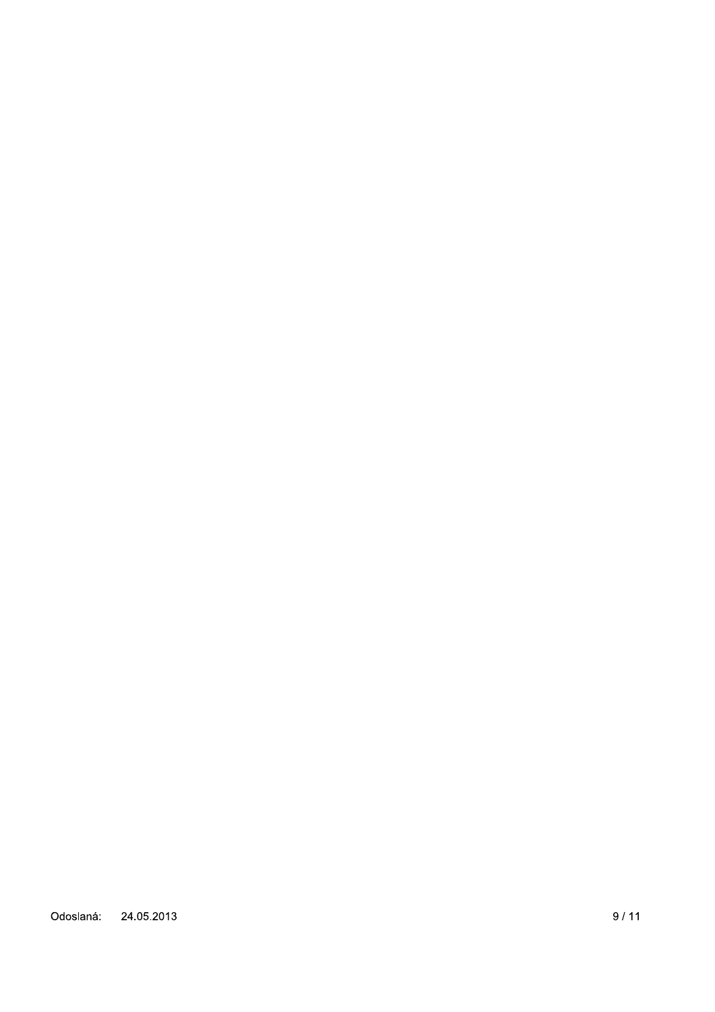Odoslaná: 24.05.2013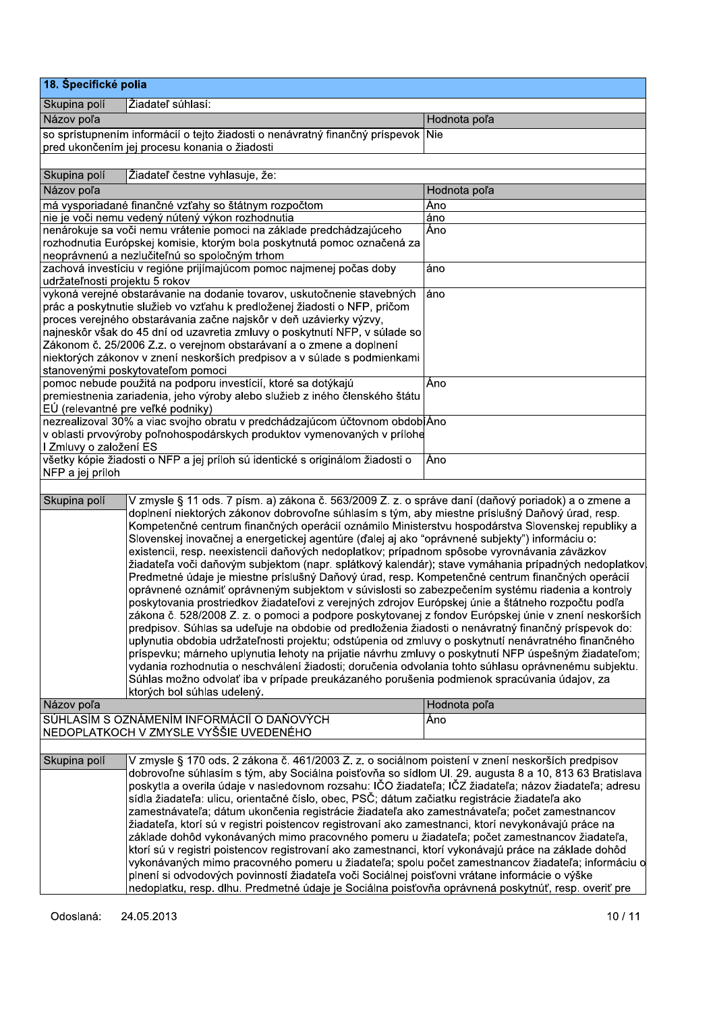| 18. Špecifické polia           |                                                                                                                                                                                                                                                                                                                                                                                                                                                                                                                                                                                                                                                                                                                                                                                                                                                                                                                                                                                                                                                                                                                                                                                                                                                                                                                                                                                                                                                                                                                                                                                                 |              |
|--------------------------------|-------------------------------------------------------------------------------------------------------------------------------------------------------------------------------------------------------------------------------------------------------------------------------------------------------------------------------------------------------------------------------------------------------------------------------------------------------------------------------------------------------------------------------------------------------------------------------------------------------------------------------------------------------------------------------------------------------------------------------------------------------------------------------------------------------------------------------------------------------------------------------------------------------------------------------------------------------------------------------------------------------------------------------------------------------------------------------------------------------------------------------------------------------------------------------------------------------------------------------------------------------------------------------------------------------------------------------------------------------------------------------------------------------------------------------------------------------------------------------------------------------------------------------------------------------------------------------------------------|--------------|
| Skupina polí                   | Žiadateľ súhlasí:                                                                                                                                                                                                                                                                                                                                                                                                                                                                                                                                                                                                                                                                                                                                                                                                                                                                                                                                                                                                                                                                                                                                                                                                                                                                                                                                                                                                                                                                                                                                                                               |              |
| Názov poľa                     |                                                                                                                                                                                                                                                                                                                                                                                                                                                                                                                                                                                                                                                                                                                                                                                                                                                                                                                                                                                                                                                                                                                                                                                                                                                                                                                                                                                                                                                                                                                                                                                                 | Hodnota poľa |
|                                | so sprístupnením informácií o tejto žiadosti o nenávratný finančný príspevok                                                                                                                                                                                                                                                                                                                                                                                                                                                                                                                                                                                                                                                                                                                                                                                                                                                                                                                                                                                                                                                                                                                                                                                                                                                                                                                                                                                                                                                                                                                    | Nie          |
|                                | pred ukončením jej procesu konania o žiadosti                                                                                                                                                                                                                                                                                                                                                                                                                                                                                                                                                                                                                                                                                                                                                                                                                                                                                                                                                                                                                                                                                                                                                                                                                                                                                                                                                                                                                                                                                                                                                   |              |
|                                |                                                                                                                                                                                                                                                                                                                                                                                                                                                                                                                                                                                                                                                                                                                                                                                                                                                                                                                                                                                                                                                                                                                                                                                                                                                                                                                                                                                                                                                                                                                                                                                                 |              |
| Skupina polí                   | Žiadateľ čestne vyhlasuje, že:                                                                                                                                                                                                                                                                                                                                                                                                                                                                                                                                                                                                                                                                                                                                                                                                                                                                                                                                                                                                                                                                                                                                                                                                                                                                                                                                                                                                                                                                                                                                                                  |              |
| Názov poľa                     |                                                                                                                                                                                                                                                                                                                                                                                                                                                                                                                                                                                                                                                                                                                                                                                                                                                                                                                                                                                                                                                                                                                                                                                                                                                                                                                                                                                                                                                                                                                                                                                                 | Hodnota poľa |
|                                | má vysporiadané finančné vzťahy so štátnym rozpočtom<br>nie je voči nemu vedený nútený výkon rozhodnutia                                                                                                                                                                                                                                                                                                                                                                                                                                                                                                                                                                                                                                                                                                                                                                                                                                                                                                                                                                                                                                                                                                                                                                                                                                                                                                                                                                                                                                                                                        | Áno<br>áno   |
|                                | nenárokuje sa voči nemu vrátenie pomoci na základe predchádzajúceho                                                                                                                                                                                                                                                                                                                                                                                                                                                                                                                                                                                                                                                                                                                                                                                                                                                                                                                                                                                                                                                                                                                                                                                                                                                                                                                                                                                                                                                                                                                             | Àno          |
|                                | rozhodnutia Európskej komisie, ktorým bola poskytnutá pomoc označená za                                                                                                                                                                                                                                                                                                                                                                                                                                                                                                                                                                                                                                                                                                                                                                                                                                                                                                                                                                                                                                                                                                                                                                                                                                                                                                                                                                                                                                                                                                                         |              |
|                                | neoprávnenú a nezlučiteľnú so spoločným trhom                                                                                                                                                                                                                                                                                                                                                                                                                                                                                                                                                                                                                                                                                                                                                                                                                                                                                                                                                                                                                                                                                                                                                                                                                                                                                                                                                                                                                                                                                                                                                   |              |
|                                | zachová investíciu v regióne prijímajúcom pomoc najmenej počas doby                                                                                                                                                                                                                                                                                                                                                                                                                                                                                                                                                                                                                                                                                                                                                                                                                                                                                                                                                                                                                                                                                                                                                                                                                                                                                                                                                                                                                                                                                                                             | áno          |
| udržateľnosti projektu 5 rokov | vykoná verejné obstarávanie na dodanie tovarov, uskutočnenie stavebných                                                                                                                                                                                                                                                                                                                                                                                                                                                                                                                                                                                                                                                                                                                                                                                                                                                                                                                                                                                                                                                                                                                                                                                                                                                                                                                                                                                                                                                                                                                         | áno          |
|                                | prác a poskytnutie služieb vo vzťahu k predloženej žiadosti o NFP, pričom                                                                                                                                                                                                                                                                                                                                                                                                                                                                                                                                                                                                                                                                                                                                                                                                                                                                                                                                                                                                                                                                                                                                                                                                                                                                                                                                                                                                                                                                                                                       |              |
|                                | proces verejného obstarávania začne najskôr v deň uzávierky výzvy,                                                                                                                                                                                                                                                                                                                                                                                                                                                                                                                                                                                                                                                                                                                                                                                                                                                                                                                                                                                                                                                                                                                                                                                                                                                                                                                                                                                                                                                                                                                              |              |
|                                | najneskôr však do 45 dní od uzavretia zmluvy o poskytnutí NFP, v súlade so                                                                                                                                                                                                                                                                                                                                                                                                                                                                                                                                                                                                                                                                                                                                                                                                                                                                                                                                                                                                                                                                                                                                                                                                                                                                                                                                                                                                                                                                                                                      |              |
|                                | Zákonom č. 25/2006 Z.z. o verejnom obstarávaní a o zmene a doplnení                                                                                                                                                                                                                                                                                                                                                                                                                                                                                                                                                                                                                                                                                                                                                                                                                                                                                                                                                                                                                                                                                                                                                                                                                                                                                                                                                                                                                                                                                                                             |              |
|                                | niektorých zákonov v znení neskorších predpisov a v súlade s podmienkami<br>stanovenými poskytovateľom pomoci                                                                                                                                                                                                                                                                                                                                                                                                                                                                                                                                                                                                                                                                                                                                                                                                                                                                                                                                                                                                                                                                                                                                                                                                                                                                                                                                                                                                                                                                                   |              |
|                                | pomoc nebude použitá na podporu investícií, ktoré sa dotýkajú                                                                                                                                                                                                                                                                                                                                                                                                                                                                                                                                                                                                                                                                                                                                                                                                                                                                                                                                                                                                                                                                                                                                                                                                                                                                                                                                                                                                                                                                                                                                   | Áno          |
|                                | premiestnenia zariadenia, jeho výroby alebo služieb z iného členského štátu                                                                                                                                                                                                                                                                                                                                                                                                                                                                                                                                                                                                                                                                                                                                                                                                                                                                                                                                                                                                                                                                                                                                                                                                                                                                                                                                                                                                                                                                                                                     |              |
|                                | EÚ (relevantné pre veľké podniky)                                                                                                                                                                                                                                                                                                                                                                                                                                                                                                                                                                                                                                                                                                                                                                                                                                                                                                                                                                                                                                                                                                                                                                                                                                                                                                                                                                                                                                                                                                                                                               |              |
|                                | nezrealizoval 30% a viac svojho obratu v predchádzajúcom účtovnom obdobĺÁno                                                                                                                                                                                                                                                                                                                                                                                                                                                                                                                                                                                                                                                                                                                                                                                                                                                                                                                                                                                                                                                                                                                                                                                                                                                                                                                                                                                                                                                                                                                     |              |
| I Zmluvy o založení ES         | v oblasti prvovýroby poľnohospodárskych produktov vymenovaných v prílohe                                                                                                                                                                                                                                                                                                                                                                                                                                                                                                                                                                                                                                                                                                                                                                                                                                                                                                                                                                                                                                                                                                                                                                                                                                                                                                                                                                                                                                                                                                                        |              |
|                                | všetky kópie žiadosti o NFP a jej príloh sú identické s originálom žiadosti o                                                                                                                                                                                                                                                                                                                                                                                                                                                                                                                                                                                                                                                                                                                                                                                                                                                                                                                                                                                                                                                                                                                                                                                                                                                                                                                                                                                                                                                                                                                   | Áno          |
| NFP a jej príloh               |                                                                                                                                                                                                                                                                                                                                                                                                                                                                                                                                                                                                                                                                                                                                                                                                                                                                                                                                                                                                                                                                                                                                                                                                                                                                                                                                                                                                                                                                                                                                                                                                 |              |
|                                |                                                                                                                                                                                                                                                                                                                                                                                                                                                                                                                                                                                                                                                                                                                                                                                                                                                                                                                                                                                                                                                                                                                                                                                                                                                                                                                                                                                                                                                                                                                                                                                                 |              |
| Skupina polí                   | V zmysle § 11 ods. 7 písm. a) zákona č. 563/2009 Z. z. o správe daní (daňový poriadok) a o zmene a<br>doplnení niektorých zákonov dobrovoľne súhlasím s tým, aby miestne príslušný Daňový úrad, resp.<br>Kompetenčné centrum finančných operácií oznámilo Ministerstvu hospodárstva Slovenskej republiky a<br>Slovenskej inovačnej a energetickej agentúre (ďalej aj ako "oprávnené subjekty") informáciu o:<br>existencii, resp. neexistencii daňových nedoplatkov; prípadnom spôsobe vyrovnávania záväzkov<br>žiadateľa voči daňovým subjektom (napr. splátkový kalendár); stave vymáhania prípadných nedoplatkov<br>Predmetné údaje je miestne príslušný Daňový úrad, resp. Kompetenčné centrum finančných operácií<br>oprávnené oznámiť oprávneným subjektom v súvislosti so zabezpečením systému riadenia a kontroly<br>poskytovania prostriedkov žiadateľovi z verejných zdrojov Európskej únie a štátneho rozpočtu podľa<br>zákona č. 528/2008 Z. z. o pomoci a podpore poskytovanej z fondov Európskej únie v znení neskorších<br>predpisov. Súhlas sa udeľuje na obdobie od predloženia žiadosti o nenávratný finančný príspevok do:<br>uplynutia obdobia udržateľnosti projektu; odstúpenia od zmluvy o poskytnutí nenávratného finančného<br>príspevku; márneho uplynutia lehoty na prijatie návrhu zmluvy o poskytnutí NFP úspešným žiadateľom;<br>vydania rozhodnutia o neschválení žiadosti; doručenia odvolania tohto súhlasu oprávnenému subjektu.<br>Súhlas možno odvolať iba v prípade preukázaného porušenia podmienok spracúvania údajov, za<br>ktorých bol súhlas udelený. |              |
| Názov poľa                     |                                                                                                                                                                                                                                                                                                                                                                                                                                                                                                                                                                                                                                                                                                                                                                                                                                                                                                                                                                                                                                                                                                                                                                                                                                                                                                                                                                                                                                                                                                                                                                                                 | Hodnota poľa |
|                                | SÚHLASÍM S OZNÁMENÍM INFORMÁCIÍ O DAŇOVÝCH<br>NEDOPLATKOCH V ZMYSLE VYŠŠIE UVEDENÉHO                                                                                                                                                                                                                                                                                                                                                                                                                                                                                                                                                                                                                                                                                                                                                                                                                                                                                                                                                                                                                                                                                                                                                                                                                                                                                                                                                                                                                                                                                                            | Àno          |
|                                |                                                                                                                                                                                                                                                                                                                                                                                                                                                                                                                                                                                                                                                                                                                                                                                                                                                                                                                                                                                                                                                                                                                                                                                                                                                                                                                                                                                                                                                                                                                                                                                                 |              |
| Skupina polí                   | V zmysle § 170 ods. 2 zákona č. 461/2003 Z. z. o sociálnom poistení v znení neskorších predpisov<br>dobrovoľne súhlasím s tým, aby Sociálna poisťovňa so sídlom Ul. 29. augusta 8 a 10, 813 63 Bratislava<br>poskytla a overila údaje v nasledovnom rozsahu: IČO žiadateľa; IČZ žiadateľa; názov žiadateľa; adresu<br>sídla žiadateľa: ulicu, orientačné číslo, obec, PSČ; dátum začiatku registrácie žiadateľa ako<br>zamestnávateľa; dátum ukončenia registrácie žiadateľa ako zamestnávateľa; počet zamestnancov<br>žiadateľa, ktorí sú v registri poistencov registrovaní ako zamestnanci, ktorí nevykonávajú práce na<br>základe dohôd vykonávaných mimo pracovného pomeru u žiadateľa; počet zamestnancov žiadateľa,<br>ktorí sú v registri poistencov registrovaní ako zamestnanci, ktorí vykonávajú práce na základe dohôd<br>vykonávaných mimo pracovného pomeru u žiadateľa; spolu počet zamestnancov žiadateľa; informáciu o<br>plnení si odvodových povinností žiadateľa voči Sociálnej poisťovni vrátane informácie o výške                                                                                                                                                                                                                                                                                                                                                                                                                                                                                                                                                        |              |
|                                | nedoplatku, resp. dlhu. Predmetné údaje je Sociálna poisťovňa oprávnená poskytnúť, resp. overiť pre                                                                                                                                                                                                                                                                                                                                                                                                                                                                                                                                                                                                                                                                                                                                                                                                                                                                                                                                                                                                                                                                                                                                                                                                                                                                                                                                                                                                                                                                                             |              |